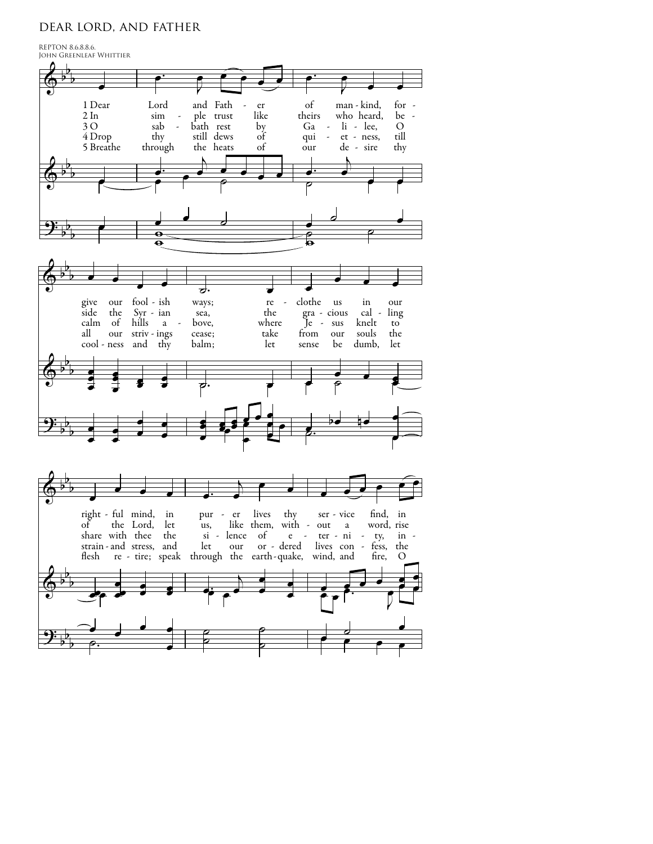## dear lord, and father

REPTON 8.6.8.8.6.